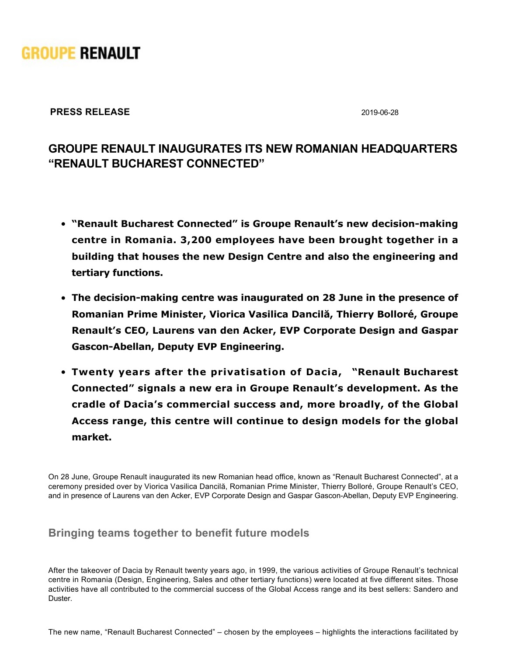

### **PRESS RELEASE** 2019-06-28

# **GROUPE RENAULT INAUGURATES ITS NEW ROMANIAN HEADQUARTERS "RENAULT BUCHAREST CONNECTED"**

- **. "Renault Bucharest Connected" is Groupe Renault's new decision-making centre in Romania. 3,200 employees have been brought together in a building that houses the new Design Centre and also the engineering and tertiary functions.**
- **The decision-making centre was inaugurated on 28 June in the presence of Romanian Prime Minister, Viorica Vasilica Dancilă, Thierry Bolloré, Groupe Renault's CEO, Laurens van den Acker, EVP Corporate Design and Gaspar Gascon-Abellan, Deputy EVP Engineering.**
- **Twenty years after the privatisation of Dacia, "Renault Bucharest Connected" signals a new era in Groupe Renault's development. As the cradle of Dacia's commercial success and, more broadly, of the Global Access range, this centre will continue to design models for the global market.**

On 28 June, Groupe Renault inaugurated its new Romanian head office, known as "Renault Bucharest Connected", at a ceremony presided over by Viorica Vasilica Dancilă, Romanian Prime Minister, Thierry Bolloré, Groupe Renault's CEO, and in presence of Laurens van den Acker, EVP Corporate Design and Gaspar Gascon-Abellan, Deputy EVP Engineering.

## **Bringing teams together to benefit future models**

After the takeover of Dacia by Renault twenty years ago, in 1999, the various activities of Groupe Renault's technical centre in Romania (Design, Engineering, Sales and other tertiary functions) were located at five different sites. Those activities have all contributed to the commercial success of the Global Access range and its best sellers: Sandero and Duster.